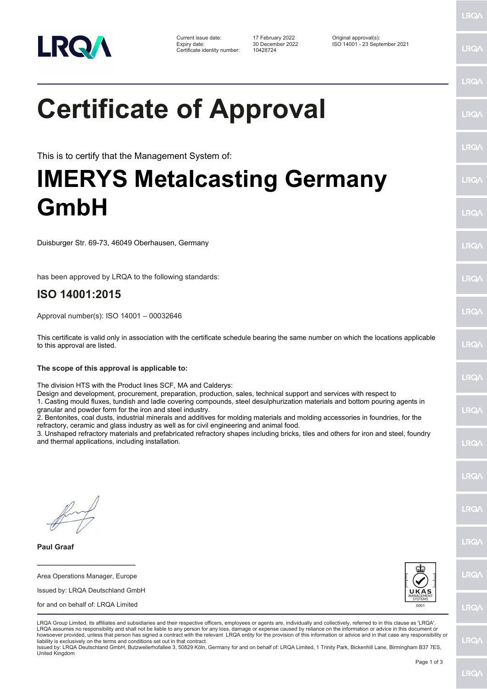

Certificate identity number: 10428724

Current issue date: 17 February 2022 Original approval(s): Expiry date: 30 December 2022 ISO 14001 - 23 September 2021

## **Certificate of Approval**

This is to certify that the Management System of:

## **IMERYS Metalcasting Germany GmbH**

Duisburger Str. 69-73, 46049 Oberhausen, Germany

has been approved by LRQA to the following standards:

## **ISO 14001:2015**

Approval number(s): ISO 14001 – 00032646

This certificate is valid only in association with the certificate schedule bearing the same number on which the locations applicable to this approval are listed.

**The scope of this approval is applicable to:**

The division HTS with the Product lines SCF, MA and Calderys:

Design and development, procurement, preparation, production, sales, technical support and services with respect to 1. Casting mould fluxes, tundish and ladle covering compounds, steel desulphurization materials and bottom pouring agents in

granular and powder form for the iron and steel industry.

2. Bentonites, coal dusts, industrial minerals and additives for molding materials and molding accessories in foundries, for the refractory, ceramic and glass industry as well as for civil engineering and animal food.

3. Unshaped refractory materials and prefabricated refractory shapes including bricks, tiles and others for iron and steel, foundry and thermal applications, including installation.

**Paul Graaf**

**\_\_\_\_\_\_\_\_\_\_\_\_\_\_\_\_\_\_\_\_\_\_\_\_** Area Operations Manager, Europe

| Issued by: LRQA Deutschland GmbH |
|----------------------------------|
|                                  |

for and on behalf of: LRQA Limited



| LRQA Group Limited, its affiliates and subsidiaries and their respective officers, employees or agents are, individually and collectively, referred to in this clause as 'LRQA'.  |
|-----------------------------------------------------------------------------------------------------------------------------------------------------------------------------------|
| LRQA assumes no responsibility and shall not be liable to any person for any loss, damage or expense caused by reliance on the information or advice in this document or          |
|                                                                                                                                                                                   |
| howsoever provided, unless that person has signed a contract with the relevant LRQA entity for the provision of this information or advice and in that case any responsibility or |
| liability is exclusively on the terms and conditions set out in that contract.                                                                                                    |
| Issued by: LRQA Deutschland GmbH, Butzweilerhofallee 3, 50829 Köln, Germany for and on behalf of: LRQA Limited, 1 Trinity Park, Bickenhill Lane, Birmingham B37 7ES,              |

United Kingdom

LRQ/

LRQ/

LRQ/

LRQ/

LRQ/

LRQ/

LRQ/

LRQ/

**IRQ** 

LRQ/

LRQ/

LRQ/

LRQ/

**IRQ** 

**LRO/** 

LRQ/

LRQ/

LRQ/

LRQ/

LRQ/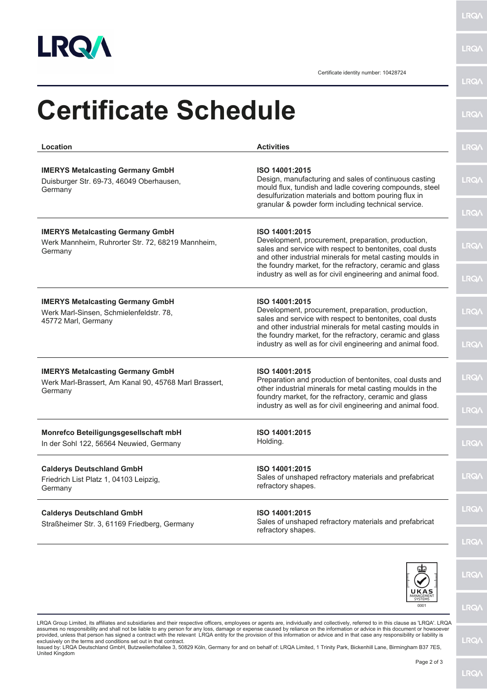

**LRQA** 

Certificate identity number: 10428724

| Location                                                                                                    | <b>Activities</b>                                                                                                                                                                             | LRQ/        |
|-------------------------------------------------------------------------------------------------------------|-----------------------------------------------------------------------------------------------------------------------------------------------------------------------------------------------|-------------|
| <b>IMERYS Metalcasting Germany GmbH</b><br>Duisburger Str. 69-73, 46049 Oberhausen,<br>Germany              | ISO 14001:2015<br>Design, manufacturing and sales of continuous casting<br>mould flux, tundish and ladle covering compounds, steel<br>desulfurization materials and bottom pouring flux in    | <b>LRQA</b> |
|                                                                                                             | granular & powder form including technical service.                                                                                                                                           | <b>LRQ/</b> |
| <b>IMERYS Metalcasting Germany GmbH</b><br>Werk Mannheim, Ruhrorter Str. 72, 68219 Mannheim,<br>Germany     | ISO 14001:2015<br>Development, procurement, preparation, production,<br>sales and service with respect to bentonites, coal dusts<br>and other industrial minerals for metal casting moulds in | <b>LRQ/</b> |
|                                                                                                             | the foundry market, for the refractory, ceramic and glass<br>industry as well as for civil engineering and animal food.                                                                       | <b>LRQA</b> |
| <b>IMERYS Metalcasting Germany GmbH</b><br>Werk Marl-Sinsen, Schmielenfeldstr. 78,<br>45772 Marl, Germany   | ISO 14001:2015<br>Development, procurement, preparation, production,<br>sales and service with respect to bentonites, coal dusts<br>and other industrial minerals for metal casting moulds in | <b>LRQA</b> |
|                                                                                                             | the foundry market, for the refractory, ceramic and glass<br>industry as well as for civil engineering and animal food.                                                                       | LRQ/        |
| <b>IMERYS Metalcasting Germany GmbH</b><br>Werk Marl-Brassert, Am Kanal 90, 45768 Marl Brassert,<br>Germany | ISO 14001:2015<br>Preparation and production of bentonites, coal dusts and<br>other industrial minerals for metal casting moulds in the                                                       | <b>LRQ/</b> |
|                                                                                                             | foundry market, for the refractory, ceramic and glass<br>industry as well as for civil engineering and animal food.                                                                           | <b>LRQ/</b> |
| Monrefco Beteiligungsgesellschaft mbH<br>In der Sohl 122, 56564 Neuwied, Germany                            | ISO 14001:2015<br>Holding.                                                                                                                                                                    | LRQ/        |
| <b>Calderys Deutschland GmbH</b><br>Friedrich List Platz 1, 04103 Leipzig,<br>Germany                       | ISO 14001:2015<br>Sales of unshaped refractory materials and prefabricat<br>refractory shapes.                                                                                                | LRQ/        |
| <b>Calderys Deutschland GmbH</b><br>Straßheimer Str. 3, 61169 Friedberg, Germany                            | ISO 14001:2015<br>Sales of unshaped refractory materials and prefabricat<br>refractory shapes.                                                                                                | <b>LRQA</b> |

LRQA Group Limited, its affiliates and subsidiaries and their respective officers, employees or agents are, individually and collectively, referred to in this clause as 'LRQA'. LRQA<br>assumes no responsibility and shall not

**LRQA**